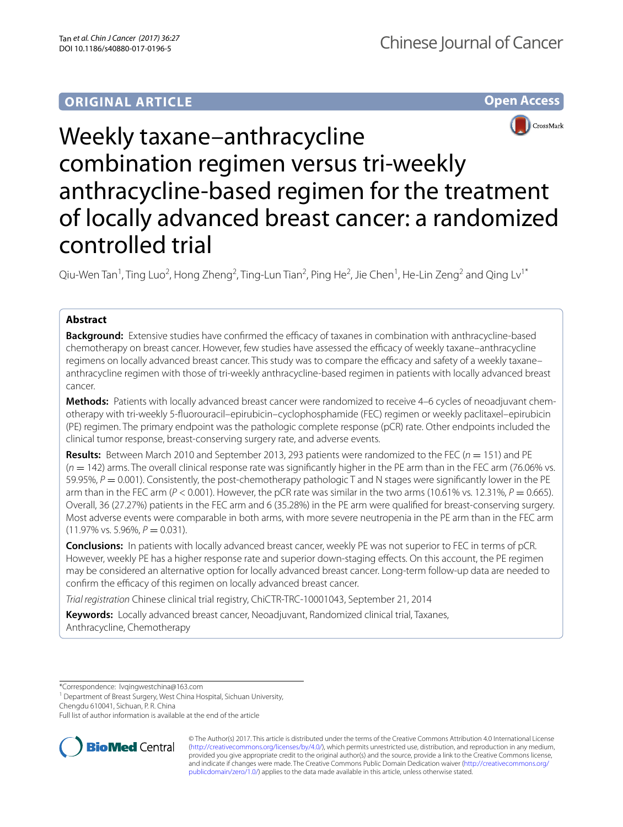# **ORIGINAL ARTICLE**





# Weekly taxane–anthracycline combination regimen versus tri-weekly anthracycline-based regimen for the treatment of locally advanced breast cancer: a randomized controlled trial

Qiu-Wen Tan<sup>1</sup>, Ting Luo<sup>2</sup>, Hong Zheng<sup>2</sup>, Ting-Lun Tian<sup>2</sup>, Ping He<sup>2</sup>, Jie Chen<sup>1</sup>, He-Lin Zeng<sup>2</sup> and Qing Lv<sup>1\*</sup>

## **Abstract**

**Background:** Extensive studies have confirmed the efficacy of taxanes in combination with anthracycline-based chemotherapy on breast cancer. However, few studies have assessed the efficacy of weekly taxane–anthracycline regimens on locally advanced breast cancer. This study was to compare the efficacy and safety of a weekly taxane– anthracycline regimen with those of tri-weekly anthracycline-based regimen in patients with locally advanced breast cancer.

**Methods:** Patients with locally advanced breast cancer were randomized to receive 4–6 cycles of neoadjuvant chemotherapy with tri-weekly 5-fluorouracil–epirubicin–cyclophosphamide (FEC) regimen or weekly paclitaxel–epirubicin (PE) regimen. The primary endpoint was the pathologic complete response (pCR) rate. Other endpoints included the clinical tumor response, breast-conserving surgery rate, and adverse events.

**Results:** Between March 2010 and September 2013, 293 patients were randomized to the FEC (*n* = 151) and PE (*n* = 142) arms. The overall clinical response rate was significantly higher in the PE arm than in the FEC arm (76.06% vs. 59.95%,  $P = 0.001$ ). Consistently, the post-chemotherapy pathologic T and N stages were significantly lower in the PE arm than in the FEC arm ( $P < 0.001$ ). However, the pCR rate was similar in the two arms (10.61% vs. 12.31%,  $P = 0.665$ ). Overall, 36 (27.27%) patients in the FEC arm and 6 (35.28%) in the PE arm were qualified for breast-conserving surgery. Most adverse events were comparable in both arms, with more severe neutropenia in the PE arm than in the FEC arm  $(11.97\% \text{ vs. } 5.96\%, P = 0.031).$ 

**Conclusions:** In patients with locally advanced breast cancer, weekly PE was not superior to FEC in terms of pCR. However, weekly PE has a higher response rate and superior down-staging effects. On this account, the PE regimen may be considered an alternative option for locally advanced breast cancer. Long-term follow-up data are needed to confirm the efficacy of this regimen on locally advanced breast cancer.

*Trial registration* Chinese clinical trial registry, ChiCTR-TRC-10001043, September 21, 2014

**Keywords:** Locally advanced breast cancer, Neoadjuvant, Randomized clinical trial, Taxanes, Anthracycline, Chemotherapy

<sup>1</sup> Department of Breast Surgery, West China Hospital, Sichuan University,

Chengdu 610041, Sichuan, P. R. China

Full list of author information is available at the end of the article



© The Author(s) 2017. This article is distributed under the terms of the Creative Commons Attribution 4.0 International License [\(http://creativecommons.org/licenses/by/4.0/\)](http://creativecommons.org/licenses/by/4.0/), which permits unrestricted use, distribution, and reproduction in any medium, provided you give appropriate credit to the original author(s) and the source, provide a link to the Creative Commons license, and indicate if changes were made. The Creative Commons Public Domain Dedication waiver ([http://creativecommons.org/](http://creativecommons.org/publicdomain/zero/1.0/) [publicdomain/zero/1.0/](http://creativecommons.org/publicdomain/zero/1.0/)) applies to the data made available in this article, unless otherwise stated.

<sup>\*</sup>Correspondence: lvqingwestchina@163.com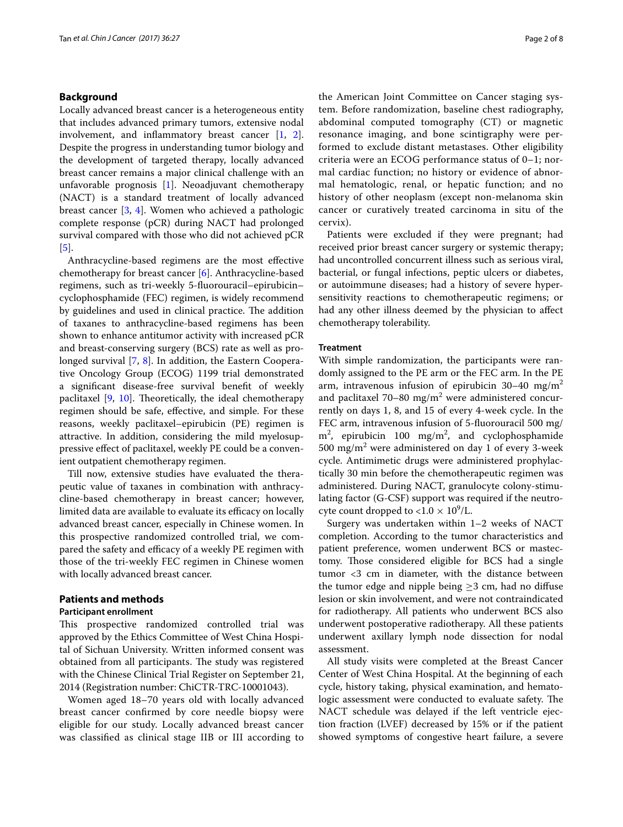#### **Background**

Locally advanced breast cancer is a heterogeneous entity that includes advanced primary tumors, extensive nodal involvement, and inflammatory breast cancer [[1,](#page-6-0) [2](#page-6-1)]. Despite the progress in understanding tumor biology and the development of targeted therapy, locally advanced breast cancer remains a major clinical challenge with an unfavorable prognosis [[1](#page-6-0)]. Neoadjuvant chemotherapy (NACT) is a standard treatment of locally advanced breast cancer [[3,](#page-6-2) [4](#page-6-3)]. Women who achieved a pathologic complete response (pCR) during NACT had prolonged survival compared with those who did not achieved pCR [[5\]](#page-6-4).

Anthracycline-based regimens are the most effective chemotherapy for breast cancer [[6\]](#page-6-5). Anthracycline-based regimens, such as tri-weekly 5-fluorouracil–epirubicin– cyclophosphamide (FEC) regimen, is widely recommend by guidelines and used in clinical practice. The addition of taxanes to anthracycline-based regimens has been shown to enhance antitumor activity with increased pCR and breast-conserving surgery (BCS) rate as well as prolonged survival [\[7](#page-6-6), [8](#page-6-7)]. In addition, the Eastern Cooperative Oncology Group (ECOG) 1199 trial demonstrated a significant disease-free survival benefit of weekly paclitaxel [[9,](#page-7-0) [10](#page-7-1)]. Theoretically, the ideal chemotherapy regimen should be safe, effective, and simple. For these reasons, weekly paclitaxel–epirubicin (PE) regimen is attractive. In addition, considering the mild myelosuppressive effect of paclitaxel, weekly PE could be a convenient outpatient chemotherapy regimen.

Till now, extensive studies have evaluated the therapeutic value of taxanes in combination with anthracycline-based chemotherapy in breast cancer; however, limited data are available to evaluate its efficacy on locally advanced breast cancer, especially in Chinese women. In this prospective randomized controlled trial, we compared the safety and efficacy of a weekly PE regimen with those of the tri-weekly FEC regimen in Chinese women with locally advanced breast cancer.

#### **Patients and methods**

#### **Participant enrollment**

This prospective randomized controlled trial was approved by the Ethics Committee of West China Hospital of Sichuan University. Written informed consent was obtained from all participants. The study was registered with the Chinese Clinical Trial Register on September 21, 2014 (Registration number: ChiCTR-TRC-10001043).

Women aged 18–70 years old with locally advanced breast cancer confirmed by core needle biopsy were eligible for our study. Locally advanced breast cancer was classified as clinical stage IIB or III according to the American Joint Committee on Cancer staging system. Before randomization, baseline chest radiography, abdominal computed tomography (CT) or magnetic resonance imaging, and bone scintigraphy were performed to exclude distant metastases. Other eligibility criteria were an ECOG performance status of 0–1; normal cardiac function; no history or evidence of abnormal hematologic, renal, or hepatic function; and no history of other neoplasm (except non-melanoma skin cancer or curatively treated carcinoma in situ of the cervix).

Patients were excluded if they were pregnant; had received prior breast cancer surgery or systemic therapy; had uncontrolled concurrent illness such as serious viral, bacterial, or fungal infections, peptic ulcers or diabetes, or autoimmune diseases; had a history of severe hypersensitivity reactions to chemotherapeutic regimens; or had any other illness deemed by the physician to affect chemotherapy tolerability.

#### **Treatment**

With simple randomization, the participants were randomly assigned to the PE arm or the FEC arm. In the PE arm, intravenous infusion of epirubicin  $30-40$  mg/m<sup>2</sup> and paclitaxel  $70-80$  mg/m<sup>2</sup> were administered concurrently on days 1, 8, and 15 of every 4-week cycle. In the FEC arm, intravenous infusion of 5-fluorouracil 500 mg/  $m<sup>2</sup>$ , epirubicin 100 mg/m<sup>2</sup>, and cyclophosphamide 500 mg/m<sup>2</sup> were administered on day 1 of every 3-week cycle. Antimimetic drugs were administered prophylactically 30 min before the chemotherapeutic regimen was administered. During NACT, granulocyte colony-stimulating factor (G-CSF) support was required if the neutrocyte count dropped to  $< 1.0 \times 10^9$ /L.

Surgery was undertaken within 1–2 weeks of NACT completion. According to the tumor characteristics and patient preference, women underwent BCS or mastectomy. Those considered eligible for BCS had a single tumor <3 cm in diameter, with the distance between the tumor edge and nipple being  $\geq$ 3 cm, had no diffuse lesion or skin involvement, and were not contraindicated for radiotherapy. All patients who underwent BCS also underwent postoperative radiotherapy. All these patients underwent axillary lymph node dissection for nodal assessment.

All study visits were completed at the Breast Cancer Center of West China Hospital. At the beginning of each cycle, history taking, physical examination, and hematologic assessment were conducted to evaluate safety. The NACT schedule was delayed if the left ventricle ejection fraction (LVEF) decreased by 15% or if the patient showed symptoms of congestive heart failure, a severe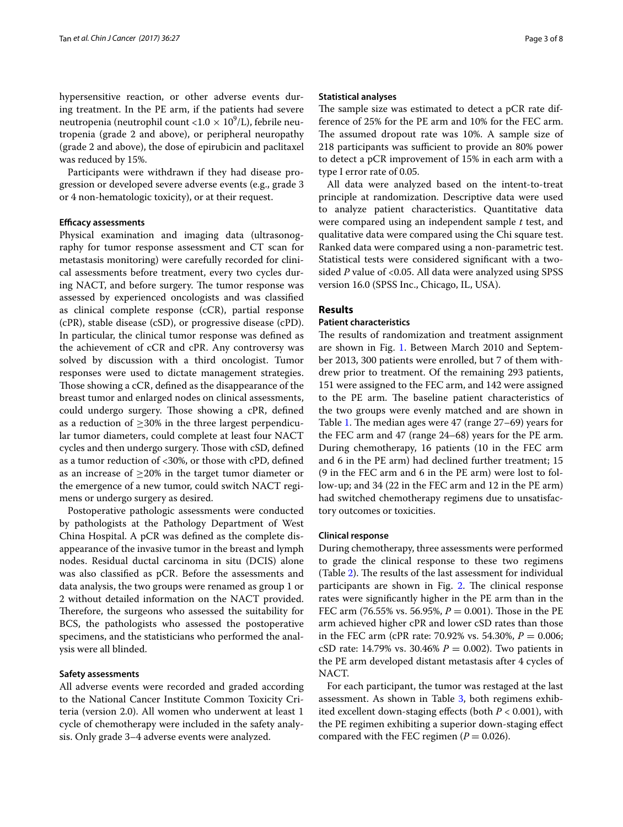hypersensitive reaction, or other adverse events during treatment. In the PE arm, if the patients had severe neutropenia (neutrophil count < $1.0 \times 10^9$ /L), febrile neutropenia (grade 2 and above), or peripheral neuropathy (grade 2 and above), the dose of epirubicin and paclitaxel was reduced by 15%.

Participants were withdrawn if they had disease progression or developed severe adverse events (e.g., grade 3 or 4 non-hematologic toxicity), or at their request.

#### **Efficacy assessments**

Physical examination and imaging data (ultrasonography for tumor response assessment and CT scan for metastasis monitoring) were carefully recorded for clinical assessments before treatment, every two cycles during NACT, and before surgery. The tumor response was assessed by experienced oncologists and was classified as clinical complete response (cCR), partial response (cPR), stable disease (cSD), or progressive disease (cPD). In particular, the clinical tumor response was defined as the achievement of cCR and cPR. Any controversy was solved by discussion with a third oncologist. Tumor responses were used to dictate management strategies. Those showing a cCR, defined as the disappearance of the breast tumor and enlarged nodes on clinical assessments, could undergo surgery. Those showing a cPR, defined as a reduction of  $\geq$ 30% in the three largest perpendicular tumor diameters, could complete at least four NACT cycles and then undergo surgery. Those with cSD, defined as a tumor reduction of <30%, or those with cPD, defined as an increase of  $\geq$ 20% in the target tumor diameter or the emergence of a new tumor, could switch NACT regimens or undergo surgery as desired.

Postoperative pathologic assessments were conducted by pathologists at the Pathology Department of West China Hospital. A pCR was defined as the complete disappearance of the invasive tumor in the breast and lymph nodes. Residual ductal carcinoma in situ (DCIS) alone was also classified as pCR. Before the assessments and data analysis, the two groups were renamed as group 1 or 2 without detailed information on the NACT provided. Therefore, the surgeons who assessed the suitability for BCS, the pathologists who assessed the postoperative specimens, and the statisticians who performed the analysis were all blinded.

#### **Safety assessments**

All adverse events were recorded and graded according to the National Cancer Institute Common Toxicity Criteria (version 2.0). All women who underwent at least 1 cycle of chemotherapy were included in the safety analysis. Only grade 3–4 adverse events were analyzed.

#### **Statistical analyses**

The sample size was estimated to detect a pCR rate difference of 25% for the PE arm and 10% for the FEC arm. The assumed dropout rate was 10%. A sample size of 218 participants was sufficient to provide an 80% power to detect a pCR improvement of 15% in each arm with a type I error rate of 0.05.

All data were analyzed based on the intent-to-treat principle at randomization. Descriptive data were used to analyze patient characteristics. Quantitative data were compared using an independent sample *t* test, and qualitative data were compared using the Chi square test. Ranked data were compared using a non-parametric test. Statistical tests were considered significant with a twosided *P* value of <0.05. All data were analyzed using SPSS version 16.0 (SPSS Inc., Chicago, IL, USA).

#### **Results**

#### **Patient characteristics**

The results of randomization and treatment assignment are shown in Fig. [1](#page-3-0). Between March 2010 and September 2013, 300 patients were enrolled, but 7 of them withdrew prior to treatment. Of the remaining 293 patients, 151 were assigned to the FEC arm, and 142 were assigned to the PE arm. The baseline patient characteristics of the two groups were evenly matched and are shown in Table [1](#page-4-0). The median ages were 47 (range 27–69) years for the FEC arm and 47 (range 24–68) years for the PE arm. During chemotherapy, 16 patients (10 in the FEC arm and 6 in the PE arm) had declined further treatment; 15 (9 in the FEC arm and 6 in the PE arm) were lost to follow-up; and 34 (22 in the FEC arm and 12 in the PE arm) had switched chemotherapy regimens due to unsatisfactory outcomes or toxicities.

#### **Clinical response**

During chemotherapy, three assessments were performed to grade the clinical response to these two regimens (Table [2\)](#page-4-1). The results of the last assessment for individual participants are shown in Fig. [2](#page-4-2). The clinical response rates were significantly higher in the PE arm than in the FEC arm (76.55% vs. 56.95%,  $P = 0.001$ ). Those in the PE arm achieved higher cPR and lower cSD rates than those in the FEC arm (cPR rate: 70.92% vs. 54.30%,  $P = 0.006$ ; cSD rate: 14.79% vs. 30.46% *P* = 0.002). Two patients in the PE arm developed distant metastasis after 4 cycles of NACT.

For each participant, the tumor was restaged at the last assessment. As shown in Table [3](#page-5-0), both regimens exhibited excellent down-staging effects (both *P* < 0.001), with the PE regimen exhibiting a superior down-staging effect compared with the FEC regimen ( $P = 0.026$ ).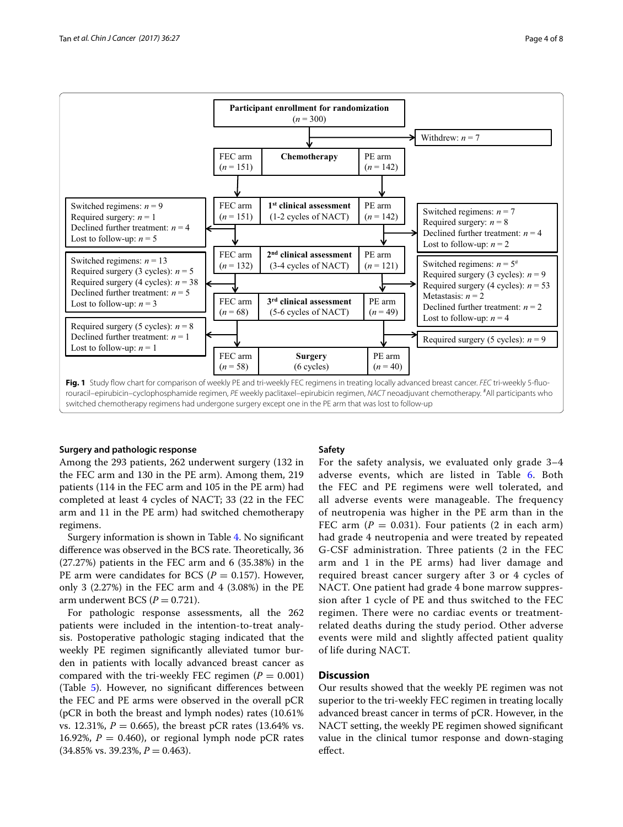

#### <span id="page-3-0"></span>**Surgery and pathologic response**

Among the 293 patients, 262 underwent surgery (132 in the FEC arm and 130 in the PE arm). Among them, 219 patients (114 in the FEC arm and 105 in the PE arm) had completed at least 4 cycles of NACT; 33 (22 in the FEC arm and 11 in the PE arm) had switched chemotherapy regimens.

Surgery information is shown in Table [4](#page-5-1). No significant difference was observed in the BCS rate. Theoretically, 36 (27.27%) patients in the FEC arm and 6 (35.38%) in the PE arm were candidates for BCS ( $P = 0.157$ ). However, only 3 (2.27%) in the FEC arm and 4 (3.08%) in the PE arm underwent BCS  $(P = 0.721)$ .

For pathologic response assessments, all the 262 patients were included in the intention-to-treat analysis. Postoperative pathologic staging indicated that the weekly PE regimen significantly alleviated tumor burden in patients with locally advanced breast cancer as compared with the tri-weekly FEC regimen  $(P = 0.001)$ (Table [5\)](#page-6-8). However, no significant differences between the FEC and PE arms were observed in the overall pCR (pCR in both the breast and lymph nodes) rates (10.61% vs. 12.31%,  $P = 0.665$ ), the breast pCR rates (13.64% vs. 16.92%,  $P = 0.460$ , or regional lymph node pCR rates  $(34.85\% \text{ vs. } 39.23\%, P = 0.463).$ 

#### **Safety**

For the safety analysis, we evaluated only grade 3–4 adverse events, which are listed in Table [6](#page-6-9). Both the FEC and PE regimens were well tolerated, and all adverse events were manageable. The frequency of neutropenia was higher in the PE arm than in the FEC arm  $(P = 0.031)$ . Four patients  $(2 \text{ in each arm})$ had grade 4 neutropenia and were treated by repeated G-CSF administration. Three patients (2 in the FEC arm and 1 in the PE arms) had liver damage and required breast cancer surgery after 3 or 4 cycles of NACT. One patient had grade 4 bone marrow suppression after 1 cycle of PE and thus switched to the FEC regimen. There were no cardiac events or treatmentrelated deaths during the study period. Other adverse events were mild and slightly affected patient quality of life during NACT.

#### **Discussion**

Our results showed that the weekly PE regimen was not superior to the tri-weekly FEC regimen in treating locally advanced breast cancer in terms of pCR. However, in the NACT setting, the weekly PE regimen showed significant value in the clinical tumor response and down-staging effect.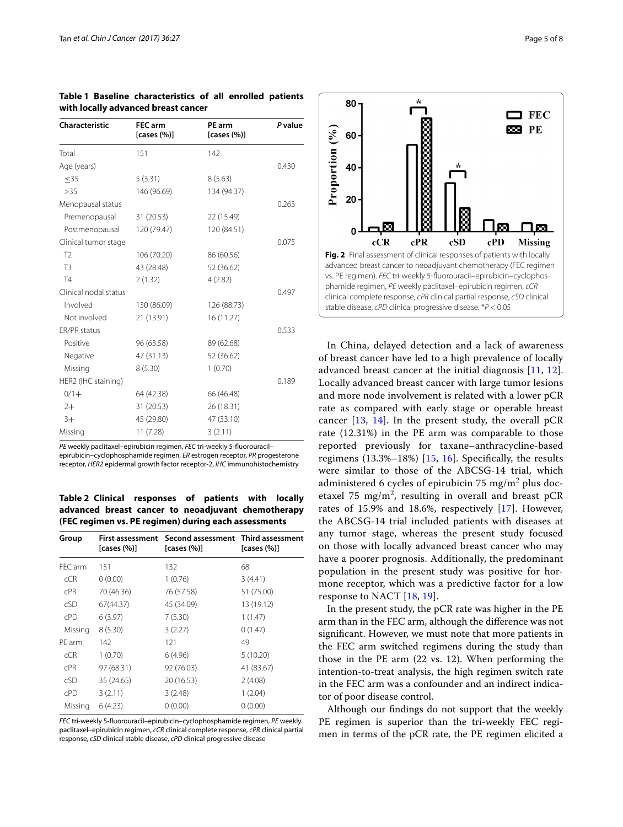| Characteristic        | <b>FEC arm</b><br>[cases $(\%)$ ] | PE arm<br>[cases (%)] | <b>P</b> value |
|-----------------------|-----------------------------------|-----------------------|----------------|
| Total                 | 151                               | 142                   |                |
| Age (years)           |                                   |                       | 0.430          |
| < 35                  | 5(3.31)                           | 8(5.63)               |                |
| >35                   | 146 (96.69)                       | 134 (94.37)           |                |
| Menopausal status     |                                   |                       | 0.263          |
| Premenopausal         | 31 (20.53)                        | 22 (15.49)            |                |
| Postmenopausal        | 120 (79.47)                       | 120 (84.51)           |                |
| Clinical tumor stage  |                                   |                       | 0.075          |
| T <sub>2</sub>        | 106 (70.20)                       | 86 (60.56)            |                |
| T <sub>3</sub>        | 43 (28.48)                        | 52 (36.62)            |                |
| <b>T4</b>             | 2(1.32)                           | 4(2.82)               |                |
| Clinical nodal status |                                   |                       | 0.497          |
| Involved              | 130 (86.09)                       | 126 (88.73)           |                |
| Not involved          | 21 (13.91)                        | 16 (11.27)            |                |
| ER/PR status          |                                   |                       | 0.533          |
| Positive              | 96 (63.58)                        | 89 (62.68)            |                |
| Negative              | 47 (31.13)                        | 52 (36.62)            |                |
| Missing               | 8(5.30)                           | 1(0.70)               |                |
| HER2 (IHC staining)   |                                   |                       | 0.189          |
| $0/1 +$               | 64 (42.38)                        | 66 (46.48)            |                |
| $2+$                  | 31 (20.53)                        | 26 (18.31)            |                |
| $3+$                  | 45 (29.80)                        | 47 (33.10)            |                |
| Missing               | 11 (7.28)                         | 3(2.11)               |                |

<span id="page-4-0"></span>**Table 1 Baseline characteristics of all enrolled patients with locally advanced breast cancer**

*PE* weekly paclitaxel–epirubicin regimen, *FEC* tri-weekly 5-fluorouracil– epirubicin–cyclophosphamide regimen, *ER* estrogen receptor, *PR* progesterone receptor, *HER2* epidermal growth factor receptor-2, *IHC* immunohistochemistry

<span id="page-4-1"></span>**Table 2 Clinical responses of patients with locally advanced breast cancer to neoadjuvant chemotherapy (FEC regimen vs. PE regimen) during each assessments**

| Group      | <b>First assessment</b><br>[cases (%)] | Second assessment<br>[cases (%)] | <b>Third assessment</b><br>[cases (%)] |
|------------|----------------------------------------|----------------------------------|----------------------------------------|
| FEC arm    | 151                                    | 132                              | 68                                     |
| CCR        | 0(0.00)                                | 1(0.76)                          | 3(4.41)                                |
| <b>CPR</b> | 70 (46.36)                             | 76 (57.58)                       | 51 (75.00)                             |
| cSD        | 67(44.37)                              | 45 (34.09)                       | 13 (19.12)                             |
| cPD        | 6(3.97)                                | 7(5.30)                          | 1(1.47)                                |
| Missing    | 8(5.30)                                | 3(2.27)                          | 0(1.47)                                |
| PF arm     | 142                                    | 121                              | 49                                     |
| CCR        | 1(0.70)                                | 6 (4.96)                         | 5(10.20)                               |
| CPR        | 97 (68.31)                             | 92 (76.03)                       | 41 (83.67)                             |
| cSD        | 35 (24.65)                             | 20 (16.53)                       | 2(4.08)                                |
| cPD        | 3(2.11)                                | 3(2.48)                          | 1(2.04)                                |
| Missing    | 6 (4.23)                               | 0(0.00)                          | 0(0.00)                                |

*FEC* tri-weekly 5-fluorouracil–epirubicin–cyclophosphamide regimen, *PE* weekly paclitaxel–epirubicin regimen, *cCR* clinical complete response, *cPR* clinical partial response, *cSD* clinical stable disease, *cPD* clinical progressive disease



<span id="page-4-2"></span>In China, delayed detection and a lack of awareness of breast cancer have led to a high prevalence of locally advanced breast cancer at the initial diagnosis [\[11](#page-7-2), [12](#page-7-3)]. Locally advanced breast cancer with large tumor lesions and more node involvement is related with a lower pCR rate as compared with early stage or operable breast cancer  $[13, 14]$  $[13, 14]$  $[13, 14]$  $[13, 14]$  $[13, 14]$ . In the present study, the overall pCR rate (12.31%) in the PE arm was comparable to those reported previously for taxane–anthracycline-based regimens (13.3%–18%) [[15](#page-7-6), [16\]](#page-7-7). Specifically, the results were similar to those of the ABCSG-14 trial, which administered 6 cycles of epirubicin  $75 \text{ mg/m}^2$  plus docetaxel 75  $mg/m^2$ , resulting in overall and breast pCR rates of 15.9% and 18.6%, respectively [\[17](#page-7-8)]. However, the ABCSG-14 trial included patients with diseases at any tumor stage, whereas the present study focused on those with locally advanced breast cancer who may have a poorer prognosis. Additionally, the predominant population in the present study was positive for hormone receptor, which was a predictive factor for a low response to NACT [\[18](#page-7-9), [19\]](#page-7-10).

In the present study, the pCR rate was higher in the PE arm than in the FEC arm, although the difference was not significant. However, we must note that more patients in the FEC arm switched regimens during the study than those in the PE arm (22 vs. 12). When performing the intention-to-treat analysis, the high regimen switch rate in the FEC arm was a confounder and an indirect indicator of poor disease control.

Although our findings do not support that the weekly PE regimen is superior than the tri-weekly FEC regimen in terms of the pCR rate, the PE regimen elicited a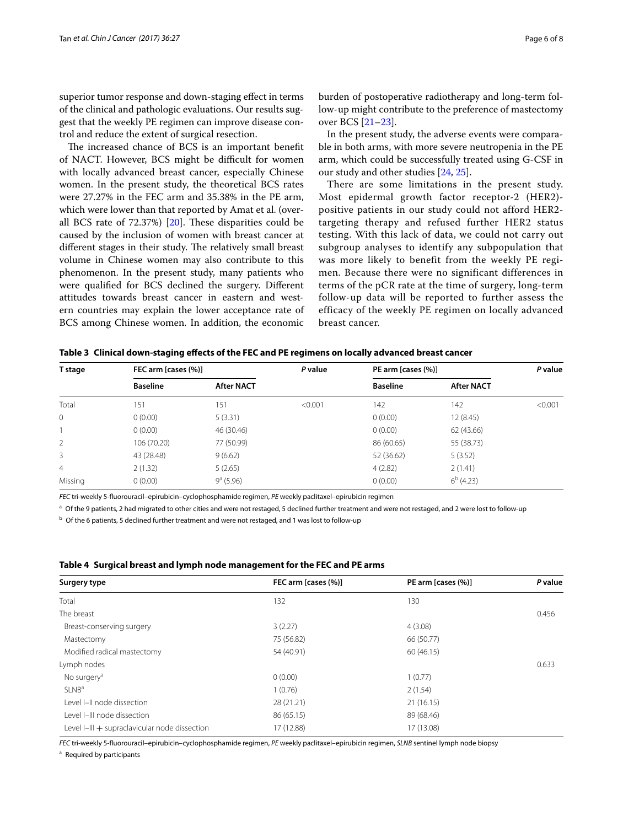superior tumor response and down-staging effect in terms of the clinical and pathologic evaluations. Our results suggest that the weekly PE regimen can improve disease control and reduce the extent of surgical resection.

The increased chance of BCS is an important benefit of NACT. However, BCS might be difficult for women with locally advanced breast cancer, especially Chinese women. In the present study, the theoretical BCS rates were 27.27% in the FEC arm and 35.38% in the PE arm, which were lower than that reported by Amat et al. (overall BCS rate of 72.37%) [[20\]](#page-7-11). These disparities could be caused by the inclusion of women with breast cancer at different stages in their study. The relatively small breast volume in Chinese women may also contribute to this phenomenon. In the present study, many patients who were qualified for BCS declined the surgery. Different attitudes towards breast cancer in eastern and western countries may explain the lower acceptance rate of BCS among Chinese women. In addition, the economic burden of postoperative radiotherapy and long-term follow-up might contribute to the preference of mastectomy over BCS [\[21](#page-7-12)[–23](#page-7-13)].

In the present study, the adverse events were comparable in both arms, with more severe neutropenia in the PE arm, which could be successfully treated using G-CSF in our study and other studies [\[24](#page-7-14), [25\]](#page-7-15).

There are some limitations in the present study. Most epidermal growth factor receptor-2 (HER2) positive patients in our study could not afford HER2 targeting therapy and refused further HER2 status testing. With this lack of data, we could not carry out subgroup analyses to identify any subpopulation that was more likely to benefit from the weekly PE regimen. Because there were no significant differences in terms of the pCR rate at the time of surgery, long-term follow-up data will be reported to further assess the efficacy of the weekly PE regimen on locally advanced breast cancer.

<span id="page-5-0"></span>

|  |  | Table 3 Clinical down-staging effects of the FEC and PE regimens on locally advanced breast cancer |
|--|--|----------------------------------------------------------------------------------------------------|
|  |  |                                                                                                    |

| T stage        |             | FEC arm [cases (%)] |                   | PE arm [cases (%)] |                 | P value           |
|----------------|-------------|---------------------|-------------------|--------------------|-----------------|-------------------|
|                |             | <b>Baseline</b>     | <b>After NACT</b> |                    | <b>Baseline</b> | <b>After NACT</b> |
| Total          | 151         | 151                 | < 0.001           | 142                | 142             | < 0.001           |
| 0              | 0(0.00)     | 5(3.31)             |                   | 0(0.00)            | 12 (8.45)       |                   |
|                | 0(0.00)     | 46 (30.46)          |                   | 0(0.00)            | 62 (43.66)      |                   |
| 2              | 106 (70.20) | 77 (50.99)          |                   | 86 (60.65)         | 55 (38.73)      |                   |
| 3              | 43 (28.48)  | 9(6.62)             |                   | 52 (36.62)         | 5(3.52)         |                   |
| $\overline{4}$ | 2(1.32)     | 5(2.65)             |                   | 4(2.82)            | 2(1.41)         |                   |
| Missing        | 0(0.00)     | $9^a(5.96)$         |                   | 0(0.00)            | $6^b$ (4.23)    |                   |

*FEC* tri-weekly 5-fluorouracil–epirubicin–cyclophosphamide regimen, *PE* weekly paclitaxel–epirubicin regimen

a Of the 9 patients, 2 had migrated to other cities and were not restaged, 5 declined further treatment and were not restaged, and 2 were lost to follow-up

b Of the 6 patients, 5 declined further treatment and were not restaged, and 1 was lost to follow-up

<span id="page-5-1"></span>

|  |  |  | Table 4 Surgical breast and lymph node management for the FEC and PE arms |
|--|--|--|---------------------------------------------------------------------------|
|  |  |  |                                                                           |

| Surgery type                                     | FEC arm [cases (%)] | PE arm [cases (%)] | P value |
|--------------------------------------------------|---------------------|--------------------|---------|
| Total                                            | 132                 | 130                |         |
| The breast                                       |                     |                    | 0.456   |
| Breast-conserving surgery                        | 3(2.27)             | 4(3.08)            |         |
| Mastectomy                                       | 75 (56.82)          | 66 (50.77)         |         |
| Modified radical mastectomy                      | 54 (40.91)          | 60 (46.15)         |         |
| Lymph nodes                                      |                     |                    | 0.633   |
| No surgery <sup>a</sup>                          | 0(0.00)             | 1(0.77)            |         |
| SLNB <sup>a</sup>                                | 1(0.76)             | 2(1.54)            |         |
| Level I-II node dissection                       | 28 (21.21)          | 21(16.15)          |         |
| Level I-III node dissection                      | 86 (65.15)          | 89 (68.46)         |         |
| Level $I=III + superaclavicular node dissection$ | 17 (12.88)          | 17 (13.08)         |         |

*FEC* tri-weekly 5-fluorouracil–epirubicin–cyclophosphamide regimen, *PE* weekly paclitaxel–epirubicin regimen, *SLNB* sentinel lymph node biopsy

<sup>a</sup> Required by participants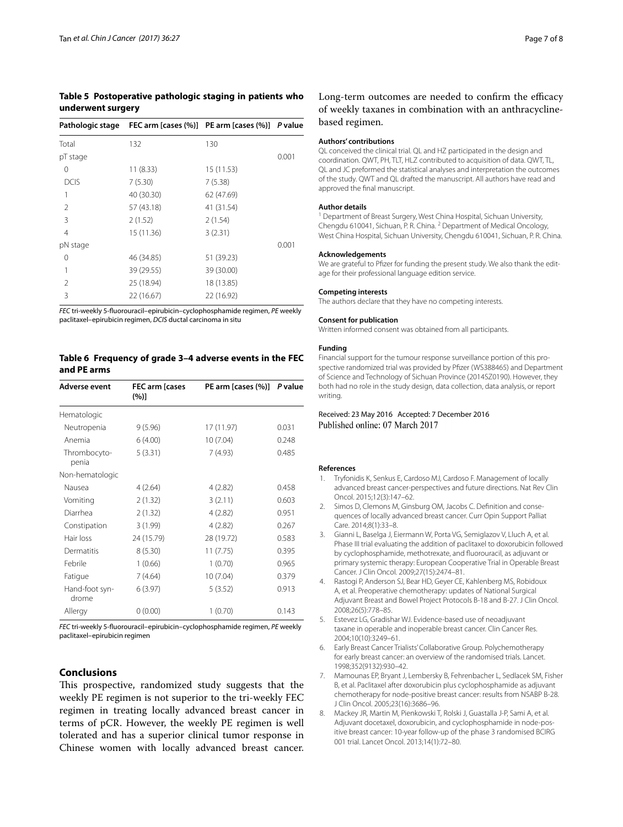#### <span id="page-6-8"></span>**Table 5 Postoperative pathologic staging in patients who underwent surgery**

| Pathologic stage | FEC arm [cases (%)] PE arm [cases (%)] P value |            |       |
|------------------|------------------------------------------------|------------|-------|
| Total            | 132                                            | 130        |       |
| pT stage         |                                                |            | 0.001 |
| 0                | 11(8.33)                                       | 15 (11.53) |       |
| <b>DCIS</b>      | 7(5.30)                                        | 7(5.38)    |       |
| 1                | 40 (30.30)                                     | 62 (47.69) |       |
| 2                | 57 (43.18)                                     | 41 (31.54) |       |
| 3                | 2(1.52)                                        | 2(1.54)    |       |
| $\overline{4}$   | 15 (11.36)                                     | 3(2.31)    |       |
| pN stage         |                                                |            | 0.001 |
| 0                | 46 (34.85)                                     | 51 (39.23) |       |
| 1                | 39 (29.55)                                     | 39 (30.00) |       |
| $\overline{2}$   | 25 (18.94)                                     | 18 (13.85) |       |
| 3                | 22 (16.67)                                     | 22 (16.92) |       |
|                  |                                                |            |       |

*FEC* tri-weekly 5-fluorouracil–epirubicin–cyclophosphamide regimen, *PE* weekly paclitaxel–epirubicin regimen, *DCIS* ductal carcinoma in situ

#### <span id="page-6-9"></span>**Table 6 Frequency of grade 3–4 adverse events in the FEC and PE arms**

| Adverse event           | FEC arm [cases<br>(%)] | PE arm [cases (%)] | P value |  |
|-------------------------|------------------------|--------------------|---------|--|
| Hematologic             |                        |                    |         |  |
| Neutropenia             | 9(5.96)                | 17 (11.97)         | 0.031   |  |
| Anemia                  | 6(4.00)                | 10 (7.04)          | 0.248   |  |
| Thrombocyto-<br>penia   | 5(3.31)                | 7(4.93)            | 0.485   |  |
| Non-hematologic         |                        |                    |         |  |
| Nausea                  | 4(2.64)                | 4(2.82)            | 0.458   |  |
| Vomiting                | 2(1.32)                | 3(2.11)            | 0.603   |  |
| Diarrhea                | 2(1.32)                | 4(2.82)            | 0.951   |  |
| Constipation            | 3(1.99)                | 4(2.82)            | 0.267   |  |
| Hair loss               | 24 (15.79)             | 28 (19.72)         | 0.583   |  |
| Dermatitis              | 8(5.30)                | 11 (7.75)          | 0.395   |  |
| Febrile                 | 1(0.66)                | 1(0.70)            | 0.965   |  |
| Fatigue                 | 7(4.64)                | 10 (7.04)          | 0.379   |  |
| Hand-foot syn-<br>drome | 6(3.97)                | 5(3.52)            | 0.913   |  |
| Allergy                 | 0(0.00)                | 1(0.70)            | 0.143   |  |

*FEC* tri-weekly 5-fluorouracil–epirubicin–cyclophosphamide regimen, *PE* weekly paclitaxel–epirubicin regimen

#### **Conclusions**

This prospective, randomized study suggests that the weekly PE regimen is not superior to the tri-weekly FEC regimen in treating locally advanced breast cancer in terms of pCR. However, the weekly PE regimen is well tolerated and has a superior clinical tumor response in Chinese women with locally advanced breast cancer.

#### Long-term outcomes are needed to confirm the efficacy of weekly taxanes in combination with an anthracyclinebased regimen.

#### **Authors' contributions**

QL conceived the clinical trial. QL and HZ participated in the design and coordination. QWT, PH, TLT, HLZ contributed to acquisition of data. QWT, TL, QL and JC preformed the statistical analyses and interpretation the outcomes of the study. QWT and QL drafted the manuscript. All authors have read and approved the final manuscript.

#### **Author details**

<sup>1</sup> Department of Breast Surgery, West China Hospital, Sichuan University, Chengdu 610041, Sichuan, P. R. China. <sup>2</sup> Department of Medical Oncology, West China Hospital, Sichuan University, Chengdu 610041, Sichuan, P. R. China.

#### **Acknowledgements**

We are grateful to Pfizer for funding the present study. We also thank the editage for their professional language edition service.

#### **Competing interests**

The authors declare that they have no competing interests.

#### **Consent for publication**

Written informed consent was obtained from all participants.

#### **Funding**

Financial support for the tumour response surveillance portion of this prospective randomized trial was provided by Pfizer (WS388465) and Department of Science and Technology of Sichuan Province (2014SZ0190). However, they both had no role in the study design, data collection, data analysis, or report writing.

#### Received: 23 May 2016 Accepted: 7 December 2016 Published online: 07 March 2017

#### **References**

- <span id="page-6-0"></span>1. Tryfonidis K, Senkus E, Cardoso MJ, Cardoso F. Management of locally advanced breast cancer-perspectives and future directions. Nat Rev Clin Oncol. 2015;12(3):147–62.
- <span id="page-6-1"></span>2. Simos D, Clemons M, Ginsburg OM, Jacobs C. Definition and consequences of locally advanced breast cancer. Curr Opin Support Palliat Care. 2014;8(1):33–8.
- <span id="page-6-2"></span>3. Gianni L, Baselga J, Eiermann W, Porta VG, Semiglazov V, Lluch A, et al. Phase III trial evaluating the addition of paclitaxel to doxorubicin followed by cyclophosphamide, methotrexate, and fluorouracil, as adjuvant or primary systemic therapy: European Cooperative Trial in Operable Breast Cancer. J Clin Oncol. 2009;27(15):2474–81.
- <span id="page-6-3"></span>4. Rastogi P, Anderson SJ, Bear HD, Geyer CE, Kahlenberg MS, Robidoux A, et al. Preoperative chemotherapy: updates of National Surgical Adjuvant Breast and Bowel Project Protocols B-18 and B-27. J Clin Oncol. 2008;26(5):778–85.
- <span id="page-6-4"></span>5. Estevez LG, Gradishar WJ. Evidence-based use of neoadjuvant taxane in operable and inoperable breast cancer. Clin Cancer Res. 2004;10(10):3249–61.
- <span id="page-6-5"></span>6. Early Breast Cancer Trialists' Collaborative Group. Polychemotherapy for early breast cancer: an overview of the randomised trials. Lancet. 1998;352(9132):930–42.
- <span id="page-6-6"></span>7. Mamounas EP, Bryant J, Lembersky B, Fehrenbacher L, Sedlacek SM, Fisher B, et al. Paclitaxel after doxorubicin plus cyclophosphamide as adjuvant chemotherapy for node-positive breast cancer: results from NSABP B-28. J Clin Oncol. 2005;23(16):3686–96.
- <span id="page-6-7"></span>8. Mackey JR, Martin M, Pienkowski T, Rolski J, Guastalla J-P, Sami A, et al. Adjuvant docetaxel, doxorubicin, and cyclophosphamide in node-positive breast cancer: 10-year follow-up of the phase 3 randomised BCIRG 001 trial. Lancet Oncol. 2013;14(1):72–80.